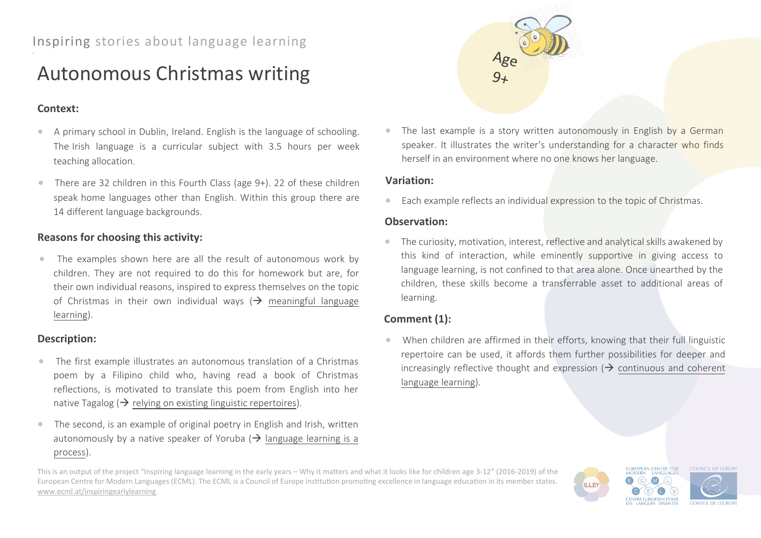# Autonomous Christmas writing

## **Context:**

- A primary school in Dublin, Ireland. English is the language of schooling. The Irish language is a curricular subject with 3.5 hours per week teaching allocation.
- There are 32 children in this Fourth Class (age 9+). 22 of these children speak home languages other than English. Within this group there are 14 different language backgrounds.

# **Reasons for choosing this activity:**

• The examples shown here are all the result of autonomous work by children. They are not required to do this for homework but are, for their own individual reasons, inspired to express themselves on the topic of Christmas in their own individual ways ( $\rightarrow$  meaningful language learning).

### **Description:**

- The first example illustrates an autonomous translation of a Christmas poem by a Filipino child who, having read a book of Christmas reflections, is motivated to translate this poem from English into her native Tagalog ( $\rightarrow$  relying on existing linguistic repertoires).
- The second, is an example of original poetry in English and Irish, written autonomously by a native speaker of Yoruba ( $\rightarrow$  language learning is a process).



The last example is a story written autonomously in English by a German speaker. It illustrates the writer's understanding for a character who finds herself in an environment where no one knows her language.

#### **Variation:**

• Each example reflects an individual expression to the topic of Christmas.

#### **Observation:**

• The curiosity, motivation, interest, reflective and analytical skills awakened by this kind of interaction, while eminently supportive in giving access to language learning, is not confined to that area alone. Once unearthed by the children, these skills become a transferrable asset to additional areas of learning.

# **Comment (1):**

• When children are affirmed in their efforts, knowing that their full linguistic repertoire can be used, it affords them further possibilities for deeper and increasingly reflective thought and expression  $\rightarrow$  continuous and coherent language learning).

This is an output of the project "Inspiring language learning in the early years – Why it matters and what it looks like for children age 3-12" (2016-2019) of the European Centre for Modern Languages (ECML). The ECML is a Council of Europe institution promoting excellence in language education in its member states. [www.ecml.at/inspiringearlylearning](http://www.ecml.at/inspiringearlylearning)

EUROPEAN CENTRE FOR<br>MODERN LANGUAGES COUNCIL OF EUROPI  $(M)$ **ILLEY CENTRE EUROPEEN POUR CONSEIL DE L'EUROL**